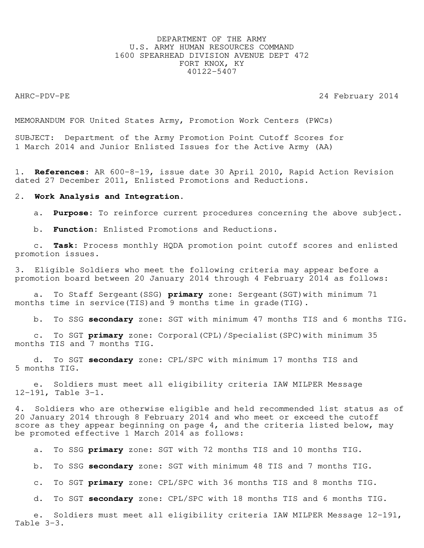# DEPARTMENT OF THE ARMY U.S. ARMY HUMAN RESOURCES COMMAND 1600 SPEARHEAD DIVISION AVENUE DEPT 472 FORT KNOX, KY 40122-5407

AHRC-PDV-PE 24 February 2014

MEMORANDUM FOR United States Army, Promotion Work Centers (PWCs)

SUBJECT: Department of the Army Promotion Point Cutoff Scores for 1 March 2014 and Junior Enlisted Issues for the Active Army (AA)

1. **References:** AR 600-8-19, issue date 30 April 2010, Rapid Action Revision dated 27 December 2011, Enlisted Promotions and Reductions.

#### 2. **Work Analysis and Integration.**

a. **Purpose:** To reinforce current procedures concerning the above subject.

b. **Function:** Enlisted Promotions and Reductions.

 c. **Task:** Process monthly HQDA promotion point cutoff scores and enlisted promotion issues.

3. Eligible Soldiers who meet the following criteria may appear before a promotion board between 20 January 2014 through 4 February 2014 as follows:

 a. To Staff Sergeant(SSG) **primary** zone: Sergeant(SGT)with minimum 71 months time in service(TIS) and 9 months time in grade(TIG).

b. To SSG **secondary** zone: SGT with minimum 47 months TIS and 6 months TIG.

 c. To SGT **primary** zone: Corporal(CPL)/Specialist(SPC)with minimum 35 months TIS and 7 months TIG.

 d. To SGT **secondary** zone: CPL/SPC with minimum 17 months TIS and 5 months TIG.

 e. Soldiers must meet all eligibility criteria IAW MILPER Message 12-191, Table 3-1.

4. Soldiers who are otherwise eligible and held recommended list status as of 20 January 2014 through 8 February 2014 and who meet or exceed the cutoff score as they appear beginning on page 4, and the criteria listed below, may be promoted effective 1 March 2014 as follows:

a. To SSG **primary** zone: SGT with 72 months TIS and 10 months TIG.

b. To SSG **secondary** zone: SGT with minimum 48 TIS and 7 months TIG.

c. To SGT **primary** zone: CPL/SPC with 36 months TIS and 8 months TIG.

d. To SGT **secondary** zone: CPL/SPC with 18 months TIS and 6 months TIG.

 e. Soldiers must meet all eligibility criteria IAW MILPER Message 12-191, Table 3-3.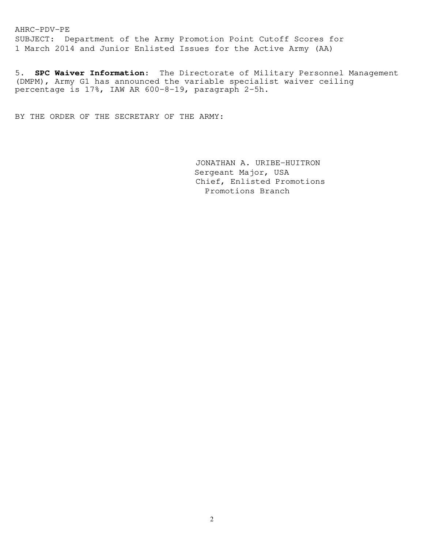AHRC-PDV-PE SUBJECT: Department of the Army Promotion Point Cutoff Scores for 1 March 2014 and Junior Enlisted Issues for the Active Army (AA)

5. **SPC Waiver Information**: The Directorate of Military Personnel Management (DMPM), Army G1 has announced the variable specialist waiver ceiling percentage is 17%, IAW AR 600-8-19, paragraph 2-5h.

BY THE ORDER OF THE SECRETARY OF THE ARMY:

 JONATHAN A. URIBE-HUITRON Sergeant Major, USA Chief, Enlisted Promotions Promotions Branch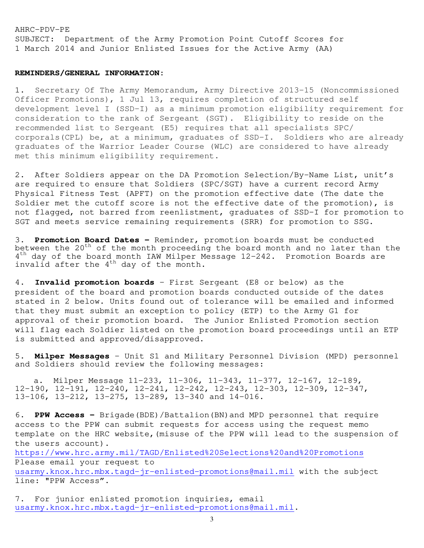SUBJECT: Department of the Army Promotion Point Cutoff Scores for 1 March 2014 and Junior Enlisted Issues for the Active Army (AA)

## **REMINDERS/GENERAL INFORMATION:**

1. Secretary Of The Army Memorandum, Army Directive 2013-15 (Noncommissioned Officer Promotions), 1 Jul 13, requires completion of structured self development level I (SSD-I) as a minimum promotion eligibility requirement for consideration to the rank of Sergeant (SGT). Eligibility to reside on the recommended list to Sergeant (E5) requires that all specialists SPC/ corporals(CPL) be, at a minimum, graduates of SSD-I. Soldiers who are already graduates of the Warrior Leader Course (WLC) are considered to have already met this minimum eligibility requirement.

2. After Soldiers appear on the DA Promotion Selection/By-Name List, unit's are required to ensure that Soldiers (SPC/SGT) have a current record Army Physical Fitness Test (APFT) on the promotion effective date (The date the Soldier met the cutoff score is not the effective date of the promotion), is not flagged, not barred from reenlistment, graduates of SSD-I for promotion to SGT and meets service remaining requirements (SRR) for promotion to SSG.

3. **Promotion Board Dates –** Reminder, promotion boards must be conducted between the 20<sup>th</sup> of the month proceeding the board month and no later than the 4<sup>th</sup> day of the board month IAW Milper Message 12-242. Promotion Boards are invalid after the  $4^{th}$  day of the month.

4. **Invalid promotion boards** - First Sergeant (E8 or below) as the president of the board and promotion boards conducted outside of the dates stated in 2 below. Units found out of tolerance will be emailed and informed that they must submit an exception to policy (ETP) to the Army G1 for approval of their promotion board. The Junior Enlisted Promotion section will flag each Soldier listed on the promotion board proceedings until an ETP is submitted and approved/disapproved.

5. **Milper Messages** – Unit S1 and Military Personnel Division (MPD) personnel and Soldiers should review the following messages:

 a. Milper Message 11-233, 11-306, 11-343, 11-377, 12-167, 12-189, 12-190, 12-191, 12-240, 12-241, 12-242, 12-243, 12-303, 12-309, 12-347, 13-106, 13-212, 13-275, 13-289, 13-340 and 14-016.

6. **PPW Access –** Brigade(BDE)/Battalion(BN)and MPD personnel that require access to the PPW can submit requests for access using the request memo template on the HRC website,(misuse of the PPW will lead to the suspension of the users account).

<https://www.hrc.army.mil/TAGD/Enlisted%20Selections%20and%20Promotions> Please email your request to [usarmy.knox.hrc.mbx.tagd-jr-enlisted-promotions@mail.mil](mailto:usarmy.knox.hrc.mbx.tagd-jr-enlisted-promotions@mail.mil) with the subject line: "PPW Access".

7. For junior enlisted promotion inquiries, email [usarmy.knox.hrc.mbx.tagd-jr-enlisted-promotions@mail.mil.](mailto:usarmy.knox.hrc.mbx.tagd-jr-enlisted-promotions@mail.mil)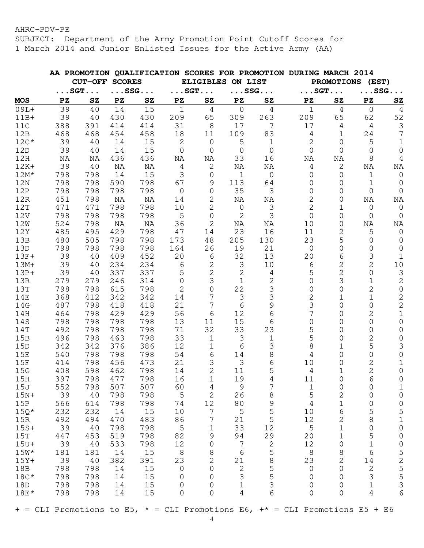SUBJECT: Department of the Army Promotion Point Cutoff Scores for 1 March 2014 and Junior Enlisted Issues for the Active Army (AA)

|            |            |                       |            |                       |                       |                     |                   |                       | AA PROMOTION QUALIFICATION SCORES FOR PROMOTION DURING MARCH 2014 |                     |                        |                                       |
|------------|------------|-----------------------|------------|-----------------------|-----------------------|---------------------|-------------------|-----------------------|-------------------------------------------------------------------|---------------------|------------------------|---------------------------------------|
|            |            | <b>CUT-OFF SCORES</b> |            |                       |                       |                     | ELIGIBLES ON LIST |                       |                                                                   |                     | PROMOTIONS (EST)       |                                       |
|            |            | $\ldots$ SGT          |            | $\ldots$ SSG $\ldots$ | $\ldots$ SGT $\ldots$ |                     |                   | $\ldots$ SSG $\ldots$ | $\ldots$ SGT                                                      |                     | $\ldots$ SSG $\ldots$  |                                       |
| <b>MOS</b> | PZ         | ${\bf s}$             | PZ         | ${\tt SZ}$            | PZ                    | ${\bf SZ}$          | PZ                | ${\tt SZ}$            | PZ                                                                | ${\tt SZ}$          | $\mathbf{P}\mathbf{Z}$ | ${\tt SZ}$                            |
| $09L+$     | 39         | 40                    | 14         | 15                    | $\mathbf{1}$          | $\overline{4}$      | $\overline{0}$    | $\overline{4}$        | $\mathbf 1$                                                       | $\overline{4}$      | $\overline{0}$         | 4                                     |
| $11B+$     | 39         | 40                    | 430        | 430                   | 209                   | 65                  | 309               | 263                   | 209                                                               | 65                  | 62                     | 52                                    |
| 11C        | 388        | 391                   | 414        | 414                   | 31                    | 8                   | 17                | 7                     | 17                                                                | 4                   | $\overline{4}$         | $\mathfrak{Z}$                        |
| 12B        | 468        | 468                   | 454        | 458                   | 18                    | 11                  | 109               | 83                    | 4                                                                 | 1                   | 24                     | 7                                     |
| $12C*$     | 39         | 40                    | 14         | 15                    | $\mathbf{2}$          | 0                   | 5                 | 1                     | 2                                                                 | 0                   | 5                      | $\mathbf 1$                           |
| 12D        | 39         | 40                    | 14         | 15                    | $\mathbf 0$           | 0                   | $\mathbf 0$       | 0                     | 0                                                                 | $\Omega$            | $\Omega$               | $\mathbf 0$                           |
| 12H        | ΝA         | ΝA                    | 436        | 436                   | NA                    | NA                  | 33                | 16                    | NA                                                                | ΝA                  | 8                      | 4                                     |
| $12K+$     | 39         | 40                    | ΝA         | NA                    | 4                     | 2                   | ΝA                | ΝA                    | 4                                                                 | $\mathbf{2}$        | ΝA                     | NA                                    |
| $12M*$     | 798        | 798                   | 14         | 15                    | 3                     | 0                   | 1                 | 0                     | 0                                                                 | 0                   | $\mathbf{1}$           | $\overline{0}$                        |
| 12N        | 798        | 798                   | 590        | 798                   | 67                    | 9                   | 113               | 64                    | 0                                                                 | 0                   | 1                      | 0                                     |
| 12P        | 798        | 798                   | 798        | 798                   | $\overline{0}$        | 0                   | 35                | 3                     | 0                                                                 | 0                   | $\Omega$               | $\mathbf 0$                           |
| 12R        | 451        | 798                   | ΝA         | NA                    | 14                    | 2                   | ΝA                | ΝA                    | 2                                                                 | 0                   | ΝA                     | ΝA                                    |
| 12T        | 471        | 471                   | 798        | 798                   | 10                    | 2                   | $\overline{0}$    | 3                     | 2                                                                 | 1                   | 0                      | $\overline{0}$                        |
| 12V        | 798        | 798                   | 798        | 798                   | 5                     | $\mathbf 0$         | $\overline{2}$    | 3                     | 0                                                                 | 0                   | $\Omega$               | $\overline{0}$                        |
| 12W        | 524        | 798                   | ΝA         | NA                    | 36                    | 2                   | ΝA                | ΝA                    | 10                                                                | 0                   | ΝA                     | NA                                    |
| 12Y        | 485        | 495                   | 429        | 798                   | 47                    | 14                  | 23                | 16                    | 11                                                                | 2                   | 5                      | $\mathbf 0$                           |
| 13B        | 480        | 505                   | 798        | 798                   | 173                   | 48                  | 205               | 130                   | 23                                                                | 5                   | 0                      | $\overline{0}$                        |
| 13D        | 798        | 798                   | 798        | 798                   | 164                   | 26                  | 19                | 21                    | $\mathsf{O}\xspace$                                               | 0                   | 0                      | $\mathbf 0$                           |
| $13F+$     | 39         | 40                    | 409        | 452                   | 20                    | 6                   | 32                | 13                    | 20                                                                | 6                   | 3                      | $\mathbf{1}$                          |
| $13M+$     | 39         | 40                    | 234        | 234                   | 6                     | $\mathbf{2}$        | 3                 | 10                    | 6                                                                 | 2                   | $\overline{2}$         | 10                                    |
| $13P+$     | 39         | 40                    | 337        | 337                   | 5                     | $\mathbf{2}$        | $\mathbf{2}$      | 4                     | 5                                                                 | 2                   | $\mathsf{O}\xspace$    | $\mathsf 3$                           |
| 13R        | 279        | 279                   | 246        | 314                   | 0                     | 3                   | $\mathbf 1$       | 2                     | 0                                                                 | 3                   | 1                      | $\mathbf{2}$                          |
| 13T        | 798        | 798                   | 615        | 798                   | 2                     | $\mathbf 0$<br>7    | 22                | 3                     | 0                                                                 | 0                   | 2                      | $\mathsf{O}\xspace$                   |
| 14E        | 368        | 412                   | 342        | 342                   | 14                    | 7                   | 3                 | 3                     | 2                                                                 | 1                   | $\mathbf 1$            | 2                                     |
| 14G<br>14H | 487<br>464 | 798<br>798            | 418<br>429 | 418<br>429            | 21<br>56              |                     | $\sqrt{6}$<br>12  | 9<br>6                | 3<br>7                                                            | 0<br>0              | $\mathbf 0$            | $\mathbf 2$<br>$1\,$                  |
| 14S        | 798        | 798                   | 798        | 798                   | 13                    | 6<br>11             | 15                | 6                     | 0                                                                 | 0                   | 2<br>$\overline{0}$    | 0                                     |
| 14T        | 492        | 798                   | 798        | 798                   | 71                    | 32                  | 33                | 23                    | 5                                                                 | 0                   | 0                      | 0                                     |
| 15B        | 496        | 798                   | 463        | 798                   | 33                    | $\mathbf 1$         | $\mathsf 3$       | 1                     | 5                                                                 | 0                   | 2                      | $\mathsf{O}\xspace$                   |
| 15D        | 342        | 342                   | 376        | 386                   | 12                    | 1                   | 6                 | 3                     | 8                                                                 | 1                   | 5                      | 3                                     |
| 15E        | 540        | 798                   | 798        | 798                   | 54                    | 6                   | 14                | 8                     | 4                                                                 | $\Omega$            | 0                      | $\mathbf 0$                           |
| 15F        | 414        | 798                   | 456        | 473                   | 21                    | 3                   | 3                 | 6                     | 10                                                                | 0                   | 2                      | 1                                     |
| 15G        | 408        | 598                   | 462        | 798                   | 14                    | 2                   | 11                | 5                     | 4                                                                 | 1                   | $\overline{c}$         | 0                                     |
| 15H        | 397        | 798                   | 477        | 798                   | 16                    |                     | 19                | 4                     | 11                                                                | 0                   |                        | $\mathsf{O}\xspace$                   |
| 15J        | 552        | 798                   | 507        | 507                   | 60                    | 4                   | 9                 | 7                     | $\mathbf{1}$                                                      | 0                   | 0                      | $\mathbf{1}$                          |
| $15N+$     | 39         | 40                    | 798        | 798                   | 5                     | $\mathbf{2}$        | 26                | 8                     | 5                                                                 | 2                   | 0                      | 0                                     |
| 15P        | 566        | 614                   | 798        | 798                   | 74                    | 12                  | 80                | 9                     | 4                                                                 | $\mathbf 1$         | 0                      | $\mathsf{O}\xspace$                   |
| $15Q*$     | 232        | 232                   | 14         | 15                    | 10                    | $\overline{7}$      | 5                 | 5                     | 10                                                                | 6                   | 5                      |                                       |
| 15R        | 492        | 494                   | 470        | 483                   | 86                    | 7                   | 21                | 5                     | 12                                                                | $\sqrt{2}$          | 8                      | $\begin{array}{c} 5 \\ 1 \end{array}$ |
| $15S+$     | 39         | 40                    | 798        | 798                   | 5                     | $\mathbf 1$         | 33                | 12                    | 5                                                                 | $\mathbf 1$         | 0                      | $\mathsf{O}\xspace$                   |
| 15T        | 447        | 453                   | 519        | 798                   | 82                    | 9                   | 94                | 29                    | 20                                                                | $\mathbf 1$         | 5                      | $\mathsf{O}\xspace$                   |
| $15U+$     | 39         | 40                    | 533        | 798                   | 12                    | $\mathsf{O}\xspace$ | 7                 | 2                     | 12                                                                | $\mathsf{O}\xspace$ | $\mathbf 1$            | $\mathsf{O}\xspace$                   |
| $15W*$     | 181        | 181                   | 14         | 15                    | 8                     | 8                   | $\sqrt{6}$        | 5                     | $\,8\,$                                                           | 8                   | 6                      |                                       |
| $15Y+$     | 39         | 40                    | 382        | 391                   | 23                    | $\overline{c}$      | 21                | 8                     | 23                                                                | 2                   | 14                     | 52553                                 |
| 18B        | 798        | 798                   | 14         | 15                    | $\overline{0}$        | $\overline{0}$      | $\mathbf{2}$      | 5                     | $\mathsf{O}\xspace$                                               | $\mathbf 0$         | $\mathbf{2}$           |                                       |
| $18C*$     | 798        | 798                   | 14         | 15                    | $\overline{0}$        | 0                   | 3                 | 5                     | 0                                                                 | 0                   | 3                      |                                       |
| 18D        | 798        | 798                   | 14         | 15                    | $\mathbf 0$           | 0                   | $\mathbf{1}$      | 3                     | 0                                                                 | 0                   | $\mathbf{1}$           |                                       |
| $18E*$     | 798        | 798                   | 14         | 15                    | 0                     | $\overline{0}$      | $\overline{4}$    | 6                     | 0                                                                 | $\overline{0}$      | $\overline{4}$         | 6                                     |
|            |            |                       |            |                       |                       |                     |                   |                       |                                                                   |                     |                        |                                       |

 $+$  = CLI Promotions to E5,  $*$  = CLI Promotions E6,  $+$  = CLI Promotions E5 + E6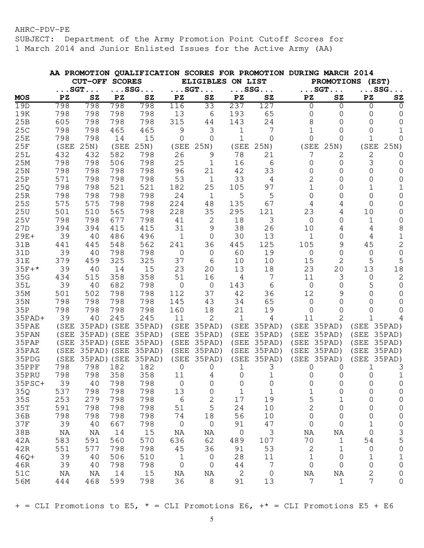SUBJECT: Department of the Army Promotion Point Cutoff Scores for 1 March 2014 and Junior Enlisted Issues for the Active Army (AA)

|            |      |                       |      |              |                        |                        |                        | AA PROMOTION QUALIFICATION SCORES FOR PROMOTION DURING MARCH 2014 |                     |                     |                        |                       |
|------------|------|-----------------------|------|--------------|------------------------|------------------------|------------------------|-------------------------------------------------------------------|---------------------|---------------------|------------------------|-----------------------|
|            |      | <b>CUT-OFF SCORES</b> |      |              |                        | <b>ELIGIBLES</b>       | ON LIST                |                                                                   |                     | <b>PROMOTIONS</b>   | (EST)                  |                       |
|            |      | $\ldots$ SGT $\ldots$ |      | $\ldots$ SSG |                        | $\ldots$ SGT. $\ldots$ |                        | $\ldots$ SSG                                                      |                     | $\ldots$ SGT        |                        | $\ldots$ SSG $\ldots$ |
| <b>MOS</b> | PZ   | ${\tt SZ}$            | PZ   | ${\tt SZ}$   | $\mathbf{P}\mathbf{Z}$ | ${\tt SZ}$             | $\mathbf{P}\mathbf{Z}$ | ${\tt SZ}$                                                        | PZ                  | ${\tt SZ}$          | $\mathbf{P}\mathbf{Z}$ | ${\tt SZ}$            |
| 19D        | 798  | 798                   | 798  | 798          | 116                    | 33                     | 237                    | 127                                                               | 0                   | 0                   | 0                      | $\Omega$              |
| 19K        | 798  | 798                   | 798  | 798          | 13                     | 6                      | 193                    | 65                                                                | 0                   | 0                   | 0                      | 0                     |
| 25B        | 605  | 798                   | 798  | 798          | 315                    | 44                     | 143                    | 24                                                                | 8                   | 0                   | $\Omega$               | $\Omega$              |
| 25C        | 798  | 798                   | 465  | 465          | 9                      | 3                      | 1                      | 7                                                                 |                     | 0                   | 0                      | 1                     |
| 25E        | 798  | 798                   | 14   | 15           | 0                      | $\mathbf 0$            | 1                      | <sup>0</sup>                                                      | 0                   | 0                   | 1                      | $\Omega$              |
| 25F        | (SEE | 25N)                  | (SEE | 25N)         | (SEE                   | 25N)                   | (SEE                   | 25N)                                                              | (SEE                | 25N)                | (SEE                   | 25N)                  |
| 25L        | 432  | 432                   | 582  | 798          | 26                     | 9                      | 78                     | 21                                                                | 7                   | 2                   | 2                      | $\Omega$              |
| 25M        | 798  | 798                   | 506  | 798          | 25                     | $\mathbf{1}$           | 16                     | 6                                                                 | 0                   | 0                   | 3                      | 0                     |
| 25N        | 798  | 798                   | 798  | 798          | 96                     | 21                     | 42                     | 33                                                                | 0                   | 0                   | 0                      | 0                     |
| 25P        | 571  | 798                   | 798  | 798          | 53                     | $\mathbf 1$            | 33                     | 4                                                                 | 2                   | 0                   | $\Omega$               | 0                     |
| 25Q        | 798  | 798                   | 521  | 521          | 182                    | 25                     | 105                    | 97                                                                | 1                   | 0                   | 1                      | 1                     |
| 25R        | 798  | 798                   | 798  | 798          | 24                     | $\mathbf 1$            | 5                      | 5                                                                 | $\Omega$            | 0                   | 0                      | 0                     |
| 25S        | 575  | 575                   | 798  | 798          | 224                    | 48                     | 135                    | 67                                                                | 4                   | 4                   | $\Omega$               | 0                     |
| 25U        | 501  | 510                   | 565  | 798          | 228                    | 35                     | 295                    | 121                                                               | 23                  | 4                   | 10                     | 0                     |
| 25V        | 798  | 798                   | 677  | 798          | 41                     | 2                      | 18                     | 3                                                                 | 0                   | 0                   | $\mathbf 1$            | 0                     |
| 27D        | 394  | 394                   | 415  | 415          | 31                     | 9                      | 38                     | 26                                                                | 10                  | 4                   | 4                      | 8                     |
| $29E+$     | 39   | 40                    | 486  | 496          | 1                      | $\mathbf 0$            | 30                     | 13                                                                | 1                   | 0                   | 4                      | $\mathbf 1$           |
| 31B        | 441  | 445                   | 548  | 562          | 241                    | 36                     | 445                    | 125                                                               | 105                 | 9                   | 45                     | $\overline{2}$        |
| 31D        | 39   | 40                    | 798  | 798          | 0                      | 0                      | 60                     | 19                                                                | 0                   | 0                   | 0                      | $\mathbf 0$           |
| <b>31E</b> | 379  | 459                   | 325  | 325          | 37                     | 6                      | 10                     | 10                                                                | 15                  | 2                   | 5                      | 5                     |
| $35F+*$    | 39   | 40                    | 14   | 15           | 23                     | 20                     | 13                     | 18                                                                | 23                  | 20                  | 13                     | 18                    |
| 35G        | 434  | 515                   | 358  | 358          | 51                     | 16                     | 4                      | 7                                                                 | 11                  | 3                   | $\overline{0}$         | $\sqrt{2}$            |
| 35L        | 39   | 40                    | 682  | 798          | $\mathbf 0$            | $\mathbf 0$            | 143                    | 6                                                                 | $\mathbf 0$         | 0                   | 5                      | $\mathbf 0$           |
| 35M        | 501  | 502                   | 798  | 798          | 112                    | 37                     | 42                     | 36                                                                | 12                  | 9                   | 0                      | 0                     |
| 35N        | 798  | 798                   | 798  | 798          | 145                    | 43                     | 34                     | 65                                                                | $\mathbf 0$         | 0                   | 0                      | 0                     |
| 35P        | 798  | 798                   | 798  | 798          | 160                    | 18                     | 21                     | 19                                                                | 0                   | 0                   | 0                      | 0                     |
| $35$ PAD+  | 39   | 40                    | 245  | 245          | 11                     | 2                      | $\mathbf 1$            | 4                                                                 | 11                  | 2                   | 1                      | 4                     |
| 35PAE      | (SEE | 35PAD) (SEE           |      | 35PAD)       | (SEE                   | 35PAD)                 | (SEE                   | 35PAD)                                                            | (SEE                | 35PAD)              | (SEE                   | 35PAD)                |
| 35PAN      | (SEE | 35PAD) (SEE           |      | 35PAD)       | (SEE                   | 35PAD)                 | (SEE                   | 35PAD)                                                            | (SEE                | 35PAD)              | (SEE                   | 35PAD)                |
| 35PAP      | (SEE | 35PAD) (SEE           |      | 35PAD)       | (SEE                   | 35PAD)                 | (SEE                   | 35PAD)                                                            | (SEE                | 35PAD)              | (SEE                   | 35PAD)                |
| 35PAZ      | (SEE | 35PAD) (SEE           |      | 35PAD)       | (SEE                   | 35PAD)                 | (SEE                   | 35PAD)                                                            | (SEE                | 35PAD)              | (SEE                   | 35PAD)                |
| 35PDG      | (SEE | 35PAD) (SEE           |      | 35PAD)       | (SEE                   | 35PAD)                 | (SEE                   | 35PAD)                                                            | (SEE                | 35PAD)              | (SEE                   | 35PAD)                |
| 35PPF      | 798  | 798                   | 182  | 182          | 0                      | 0                      | 1                      | 3                                                                 | 0                   | 0                   | 1                      | З                     |
| 35PRU      | 798  | 798                   | 358  | 358          | 11                     | 4                      | 0                      | 1                                                                 | 0                   | 0                   | 0                      | 1                     |
| $35PSC+$   | 39   | 40                    | 798  | 798          | $\overline{0}$         | 0                      | 0                      | 0                                                                 | 0                   | 0                   | 0                      | 0                     |
| 35Q        | 537  | 798                   | 798  | 798          | 13                     | 0                      | $\mathbf 1$            | 1                                                                 | 1                   | 0                   | 0                      | 0                     |
| 35S        | 253  | 279                   | 798  | 798          | $6\phantom{1}6$        | 2                      | 17                     | 19                                                                | 5                   | 1                   | 0                      | 0                     |
| 35T        | 591  | 798                   | 798  | 798          | 51                     | 5                      | 24                     | 10                                                                | $\overline{c}$      | $\mathsf{O}\xspace$ | 0                      | 0                     |
| 36B        | 798  | 798                   | 798  | 798          | 74                     | 18                     | 56                     | 10                                                                | 0                   | $\mathbf 0$         | 0                      | 0                     |
| 37F        | 39   | 40                    | 667  | 798          | $\mathsf{O}\xspace$    | $\mathbf 0$            | 91                     | 47                                                                | 0                   | $\mathsf{O}\xspace$ | $1\,$                  | $\mathsf{O}\xspace$   |
| 38B        | NA   | NA                    | 14   | 15           | NA                     | NA                     | 0                      | 3                                                                 | NA                  | NA                  | $\mathsf{O}\xspace$    |                       |
| 42A        | 583  | 591                   | 560  | 570          | 636                    | 62                     | 489                    | 107                                                               | 70                  | 1                   | 54                     | $\frac{3}{5}$         |
| 42R        | 551  | 577                   | 798  | 798          | 45                     | 36                     | 91                     | 53                                                                | $\overline{c}$      | 1                   | $\mathbf 0$            | $\mathsf{O}\xspace$   |
| $46Q+$     | 39   | 40                    | 506  | 510          | 1                      | 0                      | 28                     | 11                                                                | $\mathbf 1$         | 0                   | 1                      | $\mathbf 1$           |
| 46R        | 39   | 40                    | 798  | 798          | $\mathbf 0$            | $\mathbf 0$            | 44                     | 7                                                                 | $\mathsf{O}\xspace$ | 0                   | 0                      | 0                     |
| 51C        | NA   | ΝA                    | 14   | 15           | NA                     | NA                     | 2                      | 0                                                                 | NA                  | NA                  | 2                      | 0                     |
| 56M        | 444  | 468                   | 599  | 798          | 36                     | 8                      | 91                     | 13                                                                | 7                   | $\mathbf 1$         | 7                      | $\mathsf{O}\xspace$   |
|            |      |                       |      |              |                        |                        |                        |                                                                   |                     |                     |                        |                       |

 $+$  = CLI Promotions to E5,  $*$  = CLI Promotions E6,  $+$  = CLI Promotions E5 + E6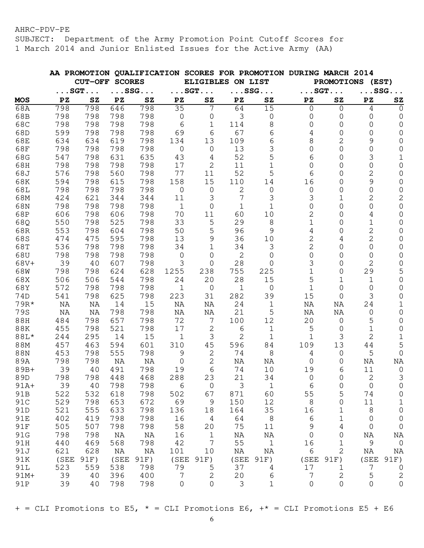SUBJECT: Department of the Army Promotion Point Cutoff Scores for 1 March 2014 and Junior Enlisted Issues for the Active Army (AA)

|            |      |                       |               |                       |              |                       |                   | AA PROMOTION QUALIFICATION SCORES FOR PROMOTION DURING MARCH 2014 |             |                     |                        |                       |
|------------|------|-----------------------|---------------|-----------------------|--------------|-----------------------|-------------------|-------------------------------------------------------------------|-------------|---------------------|------------------------|-----------------------|
|            |      | <b>CUT-OFF</b>        | <b>SCORES</b> |                       |              |                       | ELIGIBLES ON LIST |                                                                   |             |                     | PROMOTIONS (EST)       |                       |
|            |      | $\ldots$ SGT $\ldots$ |               | $\ldots$ SSG $\ldots$ |              | $\ldots$ SGT $\ldots$ |                   | $\ldots$ SSG. $\ldots$                                            |             | $\ldots$ SGT        |                        | $\ldots$ SSG $\ldots$ |
| <b>MOS</b> | PZ   | ${\tt SZ}$            | PZ            | ${\tt SZ}$            | PZ           | ${\tt SZ}$            | PZ                | ${\bf SZ}$                                                        | PZ          | ${\tt SZ}$          | $\mathbf{P}\mathbf{Z}$ | ${\tt SZ}$            |
| 68A        | 798  | 798                   | 646           | 798                   | 35           | 7                     | 64                | 15                                                                | 0           | $\overline{0}$      | 4                      | $\Omega$              |
| 68B        | 798  | 798                   | 798           | 798                   | 0            | 0                     | 3                 | 0                                                                 | 0           | 0                   | 0                      | 0                     |
| 68C        | 798  | 798                   | 798           | 798                   | 6            | 1                     | 114               | 8                                                                 | 0           | 0                   | 0                      | 0                     |
| 68D        | 599  | 798                   | 798           | 798                   | 69           | 6                     | 67                | 6                                                                 | 4           | 0                   | $\Omega$               | 0                     |
| 68E        | 634  | 634                   | 619           | 798                   | 134          | 13                    | 109               | 6                                                                 | 8           | 2                   | 9                      | 0                     |
| 68F        | 798  | 798                   | 798           | 798                   | $\mathbf 0$  | $\mathbf 0$           | 13                | 3                                                                 | 0           | $\Omega$            | $\Omega$               | 0                     |
| 68G        | 547  | 798                   | 631           | 635                   | 43           | 4                     | 52                | 5                                                                 | 6           | 0                   | 3                      | $\mathbf 1$           |
| 68H        | 798  | 798                   | 798           | 798                   | 17           | 2                     | 11                | 1                                                                 | $\Omega$    | 0                   | 0                      | 0                     |
| 68J        | 576  | 798                   | 560           | 798                   | 77           | 11                    | 52                | 5                                                                 | 6           | 0                   | 2                      | 0                     |
| 68K        | 594  | 798                   | 615           | 798                   | 158          | 15                    | 110               | 14                                                                | 16          | 0                   | 9                      | 0                     |
| 68L        | 798  | 798                   | 798           | 798                   | $\mathbf 0$  | $\overline{0}$        | 2                 | $\overline{0}$                                                    | 0           | 0                   | $\mathbf 0$            | 0                     |
| 68M        | 424  | 621                   | 344           | 344                   | 11           | 3                     | 7                 | 3                                                                 | 3           | 1                   | 2                      | $\mathbf{2}$          |
| 68N        | 798  | 798                   | 798           | 798                   | $\mathbf{1}$ | $\mathbf 0$           | $\mathbf 1$       | 1                                                                 | 0           | 0                   | 0                      | $\mathsf{O}\xspace$   |
| 68P        | 606  | 798                   | 606           | 798                   | 70           | 11                    | 60                | 10                                                                | 2           | 0                   | 4                      | 0                     |
| 68Q        | 550  | 798                   | 525           | 798                   | 33           | $\mathsf S$           | 29                | 8                                                                 | 1           | 0                   | $\mathbf 1$            | 0                     |
| 68R        | 553  | 798                   | 604           | 798                   | 50           | 5                     | 96                | 9                                                                 | 4           | 0                   | 2                      | 0                     |
| 68S        | 474  | 475                   | 595           | 798                   | 13           | 9                     | 36                | 10                                                                | 2           | 4                   | 2                      | 0                     |
| 68T        | 536  | 798                   | 798           | 798                   | 34           | $\mathbf 1$           | 34                | 3                                                                 | 2           | 0                   | $\mathbf 0$            | 0                     |
| 68U        | 798  | 798                   | 798           | 798                   | 0            | 0                     | $\mathbf{2}$      | 0                                                                 | 0           | 0                   | 0                      | 0                     |
| 68V+       | 39   | 40                    | 607           | 798                   | 3            | 0                     | 28                | 0                                                                 | 3           | 0                   | 2                      | 0                     |
| 68W        | 798  | 798                   | 624           | 628                   | 1255         | 238                   | 755               | 225                                                               | 1           | 0                   | 29                     | 5                     |
| 68X        | 506  | 506                   | 544           | 798                   | 24           | 20                    | 28                | 15                                                                | 5           | 1                   | $\mathbf 1$            | 0                     |
| 68Y        | 572  | 798                   | 798           | 798                   | $\mathbf 1$  | $\mathbf 0$           | 1                 | 0                                                                 | 1           | 0                   | 0                      | 0                     |
| 74D        | 541  | 798                   | 625           | 798                   | 223          | 31                    | 282               | 39                                                                | 15          | 0                   | 3                      | 0                     |
| 79R*       | NA   | ΝA                    | 14            | 15                    | ΝA           | ΝA                    | 24                | 1                                                                 | $\rm NA$    | ΝA                  | 24                     | 1                     |
| <b>79S</b> | NA   | ΝA                    | 798           | 798                   | ΝA           | ΝA                    | 21                | 5                                                                 | ΝA          | ΝA                  | $\mathsf{O}\xspace$    | 0                     |
| 88H        | 484  | 798                   | 657           | 798                   | 72           | 7                     | 100               | 12                                                                | 20          | 0                   | 5                      | 0                     |
| 88K        | 455  | 798                   | 521           | 798                   | 17           | $\mathbf{2}$          |                   |                                                                   | 5           | 0                   | 1                      | 0                     |
| 88L*       |      |                       |               |                       |              |                       | 6<br>2            | 1                                                                 |             | 3                   | 2                      |                       |
|            | 244  | 295                   | 14            | 15                    | $\mathbf 1$  | $\mathfrak{Z}$        |                   | 1                                                                 | 1<br>109    | 13                  |                        | $\mathbf 1$<br>5      |
| 88M        | 457  | 463                   | 594           | 601                   | 310          | 45                    | 596               | 84                                                                |             |                     | 44                     |                       |
| 88N        | 453  | 798                   | 555           | 798                   | 9            | $\mathbf{2}$          | 74                | 8                                                                 | 4           | 0                   | 5                      | $\mathbf 0$           |
| 89A        | 798  | 798                   | ΝA            | NA                    | 0            | 2                     | ΝA                | ΝA                                                                | 0           | 0                   | NA                     | NA                    |
| 89B+       | 39   | 40                    | 491           | 798                   | 19           | 6                     | 74                | 10                                                                | 19          | 6                   | 11                     | $\mathbf 0$           |
| 89D        | 798  | 798                   | 448           | 468                   | 288          | 23                    | 21                | 34                                                                | 0           | U                   | 2                      | 3                     |
| $91A+$     | 39   | 40                    | 798           | 798                   | 6            | $\mathbf 0$           | 3                 | $1\,$                                                             | 6           | 0                   | $\mathbf 0$            | 0                     |
| 91B        | 522  | 532                   | 618           | 798                   | 502          | 67                    | 871               | 60                                                                | 55          | 5                   | 74                     | $\mathbf 0$           |
| 91C        | 529  | 798                   | 653           | 672                   | 69           | 9                     | 150               | 12                                                                | 8           | $\mathbf 0$         | 11                     | $\mathbf 1$           |
| 91D        | 521  | 555                   | 633           | 798                   | 136          | 18                    | 164               | 35                                                                | 16          | 1                   | 8                      | $\mathsf{O}\xspace$   |
| 91E        | 402  | 419                   | 798           | 798                   | 16           | $\overline{4}$        | 64                | 8                                                                 | 6           | $\mathbf 1$         | 0                      | $\mathbf 0$           |
| 91F        | 505  | 507                   | 798           | 798                   | 58           | 20                    | 75                | 11                                                                | $\mathsf 9$ | $\sqrt{4}$          | $\mathbf 0$            | $\mathbf 0$           |
| 91G        | 798  | 798                   | NA            | NA                    | 16           | $1\,$                 | ΝA                | ΝA                                                                | $\mathbf 0$ | 0                   | ΝA                     | NA                    |
| 91H        | 440  | 469                   | 568           | 798                   | 42           | $\overline{7}$        | 55                | $1\,$                                                             | 16          | $\mathbf 1$         | 9                      | $\mathbf 0$           |
| 91J        | 621  | 628                   | NA            | NA                    | 101          | 10                    | NA                | NA                                                                | 6           | $\mathbf{2}$        | $\rm NA$               | NA                    |
| 91K        | (SEE | 91F)                  | (SEE          | 91F)                  | (SEE         | 91F)                  | (SEE              | 91F)                                                              | (SEE        | 91F)                | (SEE                   | 91F)                  |
| 91L        | 523  | 559                   | 538           | 798                   | 79           | 5                     | 37                | 4                                                                 | 17          | 1                   | 7                      | $\mathbf 0$           |
| 91M+       | 39   | 40                    | 396           | 400                   | 7            | $\sqrt{2}$            | 20                | 6                                                                 | 7           | 2                   | 5                      | $\sqrt{2}$            |
| 91P        | 39   | 40                    | 798           | 798                   | $\mathbf 0$  | $\mathbf 0$           | 3                 | $\mathbf{1}$                                                      | 0           | $\mathsf{O}\xspace$ | $\mathbf 0$            | $\mathbf 0$           |

 $+$  = CLI Promotions to E5,  $*$  = CLI Promotions E6,  $+*$  = CLI Promotions E5 + E6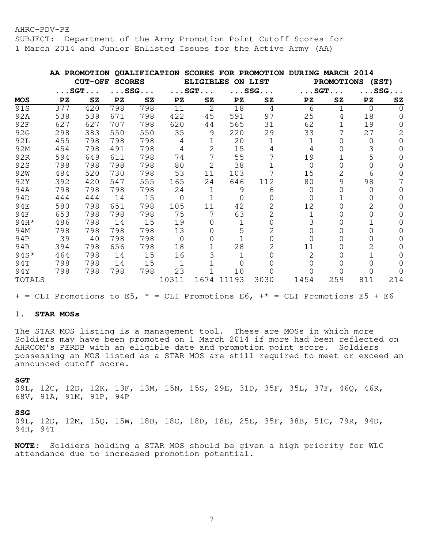SUBJECT: Department of the Army Promotion Point Cutoff Scores for 1 March 2014 and Junior Enlisted Issues for the Active Army (AA)

|                 | AA PROMOTION |                       |               |                        | <b>QUALIFICATION</b> |                       |                 | <b>SCORES FOR PROMOTION</b> | <b>DURING</b> | <b>MARCH 2014</b>      |                  |                       |
|-----------------|--------------|-----------------------|---------------|------------------------|----------------------|-----------------------|-----------------|-----------------------------|---------------|------------------------|------------------|-----------------------|
|                 |              | <b>CUT-OFF</b>        | <b>SCORES</b> |                        |                      | <b>ELIGIBLES</b>      |                 | ON LIST                     |               | <b>PROMOTIONS</b>      |                  | (EST)                 |
|                 |              | $\ldots$ SGT $\ldots$ |               | $\ldots$ SSG. $\ldots$ |                      | $\ldots$ SGT $\ldots$ |                 | $\ldots$ SSG $\ldots$       |               | $\ldots$ SGT. $\ldots$ |                  | $\ldots$ SSG $\ldots$ |
| <b>MOS</b>      | PZ           | ${\tt SZ}$            | PZ            | SZ                     | PZ                   | ${\tt SZ}$            | $\overline{P}Z$ | ${\tt SZ}$                  | PZ            | ${\tt SZ}$             | PZ               | ${\tt SZ}$            |
| 91S             | 377          | 420                   | 798           | 798                    | 11                   | 2                     | 18              | 4                           | 6             |                        | $\Omega$         | <sup>0</sup>          |
| 92A             | 538          | 539                   | 671           | 798                    | 422                  | 45                    | 591             | 97                          | 25            | 4                      | 18               |                       |
| <b>92F</b>      | 627          | 627                   | 707           | 798                    | 620                  | 44                    | 565             | 31                          | 62            |                        | 19               |                       |
| 92G             | 298          | 383                   | 550           | 550                    | 35                   | 9                     | 220             | 29                          | 33            |                        | 27               |                       |
| 92L             | 455          | 798                   | 798           | 798                    | 4                    |                       | 20              | 1                           | 1             | 0                      | 0                |                       |
| 92M             | 454          | 798                   | 491           | 798                    | 4                    | 2                     | 15              | 4                           | 4             |                        |                  |                       |
| 92R             | 594          | 649                   | 611           | 798                    | 74                   | 7                     | 55              |                             | 19            |                        |                  |                       |
| 92S             | 798          | 798                   | 798           | 798                    | 80                   | 2                     | 38              |                             | $\Omega$      | 0                      |                  |                       |
| 92 <sub>W</sub> | 484          | 520                   | 730           | 798                    | 53                   | 11                    | 103             |                             | 15            | 2                      | 6                |                       |
| 92Y             | 392          | 420                   | 547           | 555                    | 165                  | 24                    | 646             | 112                         | 80            | 9                      | 98               |                       |
| 94A             | 798          | 798                   | 798           | 798                    | 24                   |                       | 9               | 6                           | 0             | 0                      | $\left( \right)$ |                       |
| 94D             | 444          | 444                   | 14            | 15                     | $\Omega$             |                       | $\Omega$        |                             | 0             |                        |                  |                       |
| 94E             | 580          | 798                   | 651           | 798                    | 105                  | 11                    | 42              | 2                           | 12            | 0                      | 2                |                       |
| 94F             | 653          | 798                   | 798           | 798                    | 75                   |                       | 63              | 2                           |               |                        |                  |                       |
| 94H*            | 486          | 798                   | 14            | 15                     | 19                   | 0                     |                 |                             |               | 0                      |                  |                       |
| 94M             | 798          | 798                   | 798           | 798                    | 13                   |                       | 5               | 2                           |               |                        |                  |                       |
| 94P             | 39           | 40                    | 798           | 798                    | $\Omega$             | 0                     |                 | 0                           | 0             | O                      |                  |                       |
| 94R             | 394          | 798                   | 656           | 798                    | 18                   |                       | 28              |                             | 11            |                        |                  |                       |
| $94S*$          | 464          | 798                   | 14            | 15                     | 16                   |                       |                 |                             | 2             |                        |                  |                       |
| 94T             | 798          | 798                   | 14            | 15                     |                      |                       | 0               |                             |               | 0                      |                  |                       |
| 94Y             | 798          | 798                   | 798           | 798                    | 23                   |                       | 10              |                             |               |                        |                  |                       |
| TOTALS          |              |                       |               |                        | 10311                | 1674                  | 11193           | 3030                        | 1454          | 259                    | 811              | 214                   |

 $+$  = CLI Promotions to E5,  $*$  = CLI Promotions E6,  $+*$  = CLI Promotions E5 + E6

## 1. **STAR MOSs**

The STAR MOS listing is a management tool. These are MOSs in which more Soldiers may have been promoted on 1 March 2014 if more had been reflected on AHRCOM's PERDB with an eligible date and promotion point score. Soldiers possessing an MOS listed as a STAR MOS are still required to meet or exceed an announced cutoff score.

#### **SGT**

09L, 12C, 12D, 12K, 13F, 13M, 15N, 15S, 29E, 31D, 35F, 35L, 37F, 46Q, 46R, 68V, 91A, 91M, 91P, 94P

#### **SSG**

09L, 12D, 12M, 15Q, 15W, 18B, 18C, 18D, 18E, 25E, 35F, 38B, 51C, 79R, 94D, 94H, 94T

**NOTE:** Soldiers holding a STAR MOS should be given a high priority for WLC attendance due to increased promotion potential.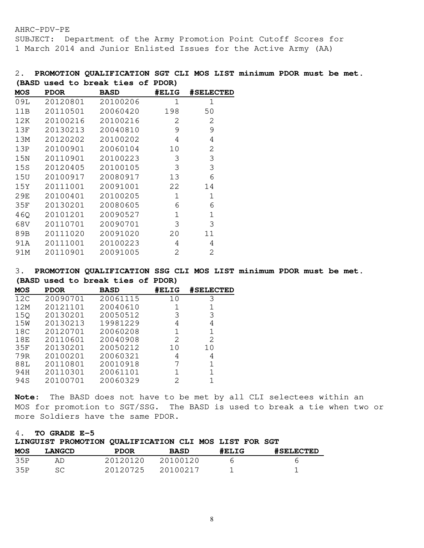SUBJECT: Department of the Army Promotion Point Cutoff Scores for 1 March 2014 and Junior Enlisted Issues for the Active Army (AA)

# 2. **PROMOTION QUALIFICATION SGT CLI MOS LIST minimum PDOR must be met. (BASD used to break ties of PDOR)**

| MOS | <b>PDOR</b> | <b>BASD</b> | #ELIG | <b>#SELECTED</b> |
|-----|-------------|-------------|-------|------------------|
| 09L | 20120801    | 20100206    | 1     | 1                |
| 11B | 20110501    | 20060420    | 198   | 50               |
| 12K | 20100216    | 20100216    | 2     | 2                |
| 13F | 20130213    | 20040810    | 9     | 9                |
| 13M | 20120202    | 20100202    | 4     | 4                |
| 13P | 20100901    | 20060104    | 10    | 2                |
| 15N | 20110901    | 20100223    | 3     | 3                |
| 15S | 20120405    | 20100105    | 3     | 3                |
| 15U | 20100917    | 20080917    | 13    | 6                |
| 15Y | 20111001    | 20091001    | 22    | 14               |
| 29E | 20100401    | 20100205    | 1     | 1                |
| 35F | 20130201    | 20080605    | 6     | 6                |
| 46Q | 20101201    | 20090527    | 1     | 1                |
| 68V | 20110701    | 20090701    | 3     | 3                |
| 89B | 20111020    | 20091020    | 20    | 11               |
| 91A | 20111001    | 20100223    | 4     | 4                |
| 91M | 20110901    | 20091005    | 2     | 2                |

3. **PROMOTION QUALIFICATION SSG CLI MOS LIST minimum PDOR must be met. (BASD used to break ties of PDOR)** 

| <b>MOS</b>      | <b>PDOR</b> | <b>BASD</b> | #ELIG | <b>#SELECTED</b> |
|-----------------|-------------|-------------|-------|------------------|
| 12C             | 20090701    | 20061115    | 10    | 3                |
| 12M             | 20121101    | 20040610    | 1     |                  |
| 15Q             | 20130201    | 20050512    | 3     | 3                |
| 15 <sub>W</sub> | 20130213    | 19981229    | 4     | 4                |
| 18C             | 20120701    | 20060208    | 1     |                  |
| 18E             | 20110601    | 20040908    | 2     | 2                |
| 35F             | 20130201    | 20050212    | 10    | 10               |
| 79R             | 20100201    | 20060321    | 4     | 4                |
| 88L             | 20110801    | 20010918    |       |                  |
| 94H             | 20110301    | 20061101    | 1     |                  |
| 94S             | 20100701    | 20060329    | 2     |                  |

**Note:** The BASD does not have to be met by all CLI selectees within an MOS for promotion to SGT/SSG. The BASD is used to break a tie when two or more Soldiers have the same PDOR.

# 4. **TO GRADE E-5**

|            | 10 ulumlar u<br>LINGUIST PROMOTION QUALIFICATION CLI MOS LIST FOR SGT |             |             |       |                  |
|------------|-----------------------------------------------------------------------|-------------|-------------|-------|------------------|
| <b>MOS</b> | <b>LANGCD</b>                                                         | <b>PDOR</b> | <b>BASD</b> | #ELIG | <b>#SELECTED</b> |
| 35P        | AD.                                                                   | 20120120    | 20100120    | n     |                  |
| 35P        | SC.                                                                   | 20120725    | 20100217    |       |                  |